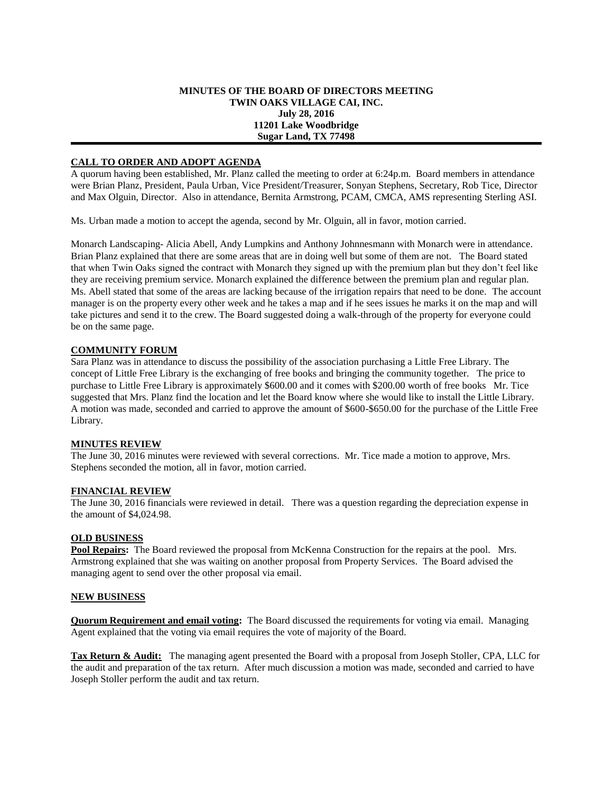## **MINUTES OF THE BOARD OF DIRECTORS MEETING TWIN OAKS VILLAGE CAI, INC. July 28, 2016 11201 Lake Woodbridge Sugar Land, TX 77498**

# **CALL TO ORDER AND ADOPT AGENDA**

A quorum having been established, Mr. Planz called the meeting to order at 6:24p.m. Board members in attendance were Brian Planz, President, Paula Urban, Vice President/Treasurer, Sonyan Stephens, Secretary, Rob Tice, Director and Max Olguin, Director. Also in attendance, Bernita Armstrong, PCAM, CMCA, AMS representing Sterling ASI.

Ms. Urban made a motion to accept the agenda, second by Mr. Olguin, all in favor, motion carried.

Monarch Landscaping- Alicia Abell, Andy Lumpkins and Anthony Johnnesmann with Monarch were in attendance. Brian Planz explained that there are some areas that are in doing well but some of them are not. The Board stated that when Twin Oaks signed the contract with Monarch they signed up with the premium plan but they don't feel like they are receiving premium service. Monarch explained the difference between the premium plan and regular plan. Ms. Abell stated that some of the areas are lacking because of the irrigation repairs that need to be done. The account manager is on the property every other week and he takes a map and if he sees issues he marks it on the map and will take pictures and send it to the crew. The Board suggested doing a walk-through of the property for everyone could be on the same page.

## **COMMUNITY FORUM**

Sara Planz was in attendance to discuss the possibility of the association purchasing a Little Free Library. The concept of Little Free Library is the exchanging of free books and bringing the community together. The price to purchase to Little Free Library is approximately \$600.00 and it comes with \$200.00 worth of free books Mr. Tice suggested that Mrs. Planz find the location and let the Board know where she would like to install the Little Library. A motion was made, seconded and carried to approve the amount of \$600-\$650.00 for the purchase of the Little Free Library.

#### **MINUTES REVIEW**

The June 30, 2016 minutes were reviewed with several corrections. Mr. Tice made a motion to approve, Mrs. Stephens seconded the motion, all in favor, motion carried.

#### **FINANCIAL REVIEW**

The June 30, 2016 financials were reviewed in detail. There was a question regarding the depreciation expense in the amount of \$4,024.98.

#### **OLD BUSINESS**

**Pool Repairs:** The Board reviewed the proposal from McKenna Construction for the repairs at the pool. Mrs. Armstrong explained that she was waiting on another proposal from Property Services. The Board advised the managing agent to send over the other proposal via email.

#### **NEW BUSINESS**

**Quorum Requirement and email voting:** The Board discussed the requirements for voting via email. Managing Agent explained that the voting via email requires the vote of majority of the Board.

**Tax Return & Audit:** The managing agent presented the Board with a proposal from Joseph Stoller, CPA, LLC for the audit and preparation of the tax return. After much discussion a motion was made, seconded and carried to have Joseph Stoller perform the audit and tax return.